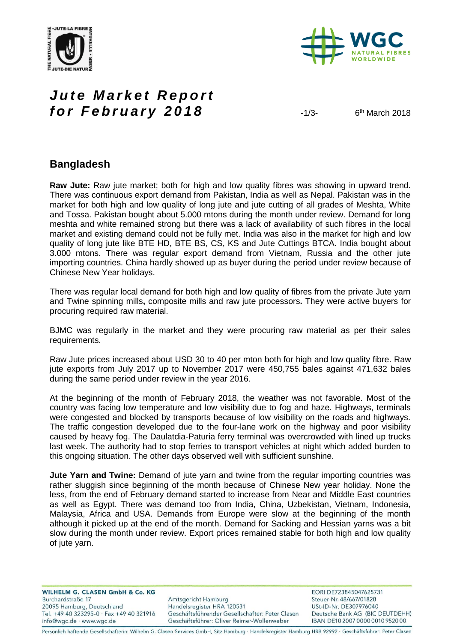



# *Jute Market Report for February 2018* 4/3-

 $6<sup>th</sup>$  March 2018

### **Bangladesh**

**Raw Jute:** Raw jute market; both for high and low quality fibres was showing in upward trend. There was continuous export demand from Pakistan, India as well as Nepal. Pakistan was in the market for both high and low quality of long jute and jute cutting of all grades of Meshta, White and Tossa. Pakistan bought about 5.000 mtons during the month under review. Demand for long meshta and white remained strong but there was a lack of availability of such fibres in the local market and existing demand could not be fully met. India was also in the market for high and low quality of long jute like BTE HD, BTE BS, CS, KS and Jute Cuttings BTCA. India bought about 3.000 mtons. There was regular export demand from Vietnam, Russia and the other jute importing countries. China hardly showed up as buyer during the period under review because of Chinese New Year holidays.

There was regular local demand for both high and low quality of fibres from the private Jute yarn and Twine spinning mills**,** composite mills and raw jute processors**.** They were active buyers for procuring required raw material.

BJMC was regularly in the market and they were procuring raw material as per their sales requirements.

Raw Jute prices increased about USD 30 to 40 per mton both for high and low quality fibre. Raw jute exports from July 2017 up to November 2017 were 450,755 bales against 471,632 bales during the same period under review in the year 2016.

At the beginning of the month of February 2018, the weather was not favorable. Most of the country was facing low temperature and low visibility due to fog and haze. Highways, terminals were congested and blocked by transports because of low visibility on the roads and highways. The traffic congestion developed due to the four-lane work on the highway and poor visibility caused by heavy fog. The Daulatdia-Paturia ferry terminal was overcrowded with lined up trucks last week. The authority had to stop ferries to transport vehicles at night which added burden to this ongoing situation. The other days observed well with sufficient sunshine.

**Jute Yarn and Twine:** Demand of jute yarn and twine from the regular importing countries was rather sluggish since beginning of the month because of Chinese New year holiday. None the less, from the end of February demand started to increase from Near and Middle East countries as well as Egypt. There was demand too from India, China, Uzbekistan, Vietnam, Indonesia, Malaysia, Africa and USA. Demands from Europe were slow at the beginning of the month although it picked up at the end of the month. Demand for Sacking and Hessian yarns was a bit slow during the month under review. Export prices remained stable for both high and low quality of jute yarn.

**WILHELM G. CLASEN GmbH & Co. KG** Burchardstraße 17 20095 Hamburg, Deutschland Tel. +49 40 323295-0 · Fax +49 40 321916 info@wgc.de · www.wgc.de

Amtsgericht Hamburg Handelsregister HRA 120531 Geschäftsführender Gesellschafter: Peter Clasen Geschäftsführer: Oliver Reimer-Wollenweber

EORI DE723845047625731 Steuer-Nr. 48/667/01828 USt-ID-Nr. DE307976040 Deutsche Bank AG (BIC DEUTDEHH) IBAN DE10 2007 0000 0010 9520 00

Persönlich haftende Gesellschafterin: Wilhelm G. Clasen Services GmbH, Sitz Hamburg · Handelsregister Hamburg HRB 92992 · Geschäftsführer: Peter Clasen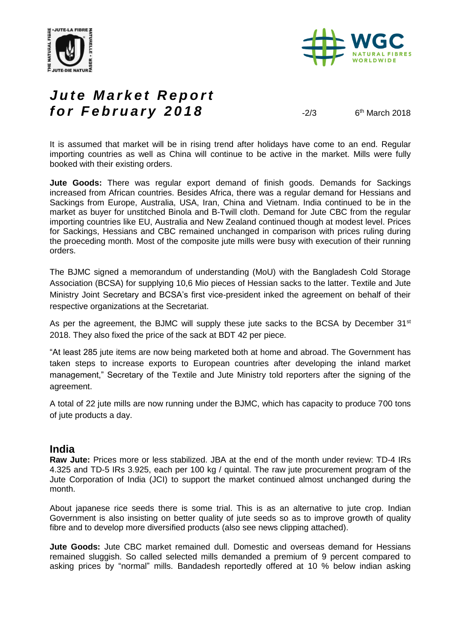



# *Jute Market Report for February 2018*  $\frac{2}{3}$

 $6<sup>th</sup>$  March 2018

It is assumed that market will be in rising trend after holidays have come to an end. Regular importing countries as well as China will continue to be active in the market. Mills were fully booked with their existing orders.

**Jute Goods:** There was regular export demand of finish goods. Demands for Sackings increased from African countries. Besides Africa, there was a regular demand for Hessians and Sackings from Europe, Australia, USA, Iran, China and Vietnam. India continued to be in the market as buyer for unstitched Binola and B-Twill cloth. Demand for Jute CBC from the regular importing countries like EU, Australia and New Zealand continued though at modest level. Prices for Sackings, Hessians and CBC remained unchanged in comparison with prices ruling during the proeceding month. Most of the composite jute mills were busy with execution of their running orders.

The BJMC signed a memorandum of understanding (MoU) with the Bangladesh Cold Storage Association (BCSA) for supplying 10,6 Mio pieces of Hessian sacks to the latter. Textile and Jute Ministry Joint Secretary and BCSA's first vice-president inked the agreement on behalf of their respective organizations at the Secretariat.

As per the agreement, the BJMC will supply these jute sacks to the BCSA by December  $31<sup>st</sup>$ 2018. They also fixed the price of the sack at BDT 42 per piece.

"At least 285 jute items are now being marketed both at home and abroad. The Government has taken steps to increase exports to European countries after developing the inland market management," Secretary of the Textile and Jute Ministry told reporters after the signing of the agreement.

A total of 22 jute mills are now running under the BJMC, which has capacity to produce 700 tons of jute products a day.

### **India**

**Raw Jute:** Prices more or less stabilized. JBA at the end of the month under review: TD-4 IRs 4.325 and TD-5 IRs 3.925, each per 100 kg / quintal. The raw jute procurement program of the Jute Corporation of India (JCI) to support the market continued almost unchanged during the month.

About japanese rice seeds there is some trial. This is as an alternative to jute crop. Indian Government is also insisting on better quality of jute seeds so as to improve growth of quality fibre and to develop more diversified products (also see news clipping attached).

**Jute Goods:** Jute CBC market remained dull. Domestic and overseas demand for Hessians remained sluggish. So called selected mills demanded a premium of 9 percent compared to asking prices by "normal" mills. Bandadesh reportedly offered at 10 % below indian asking